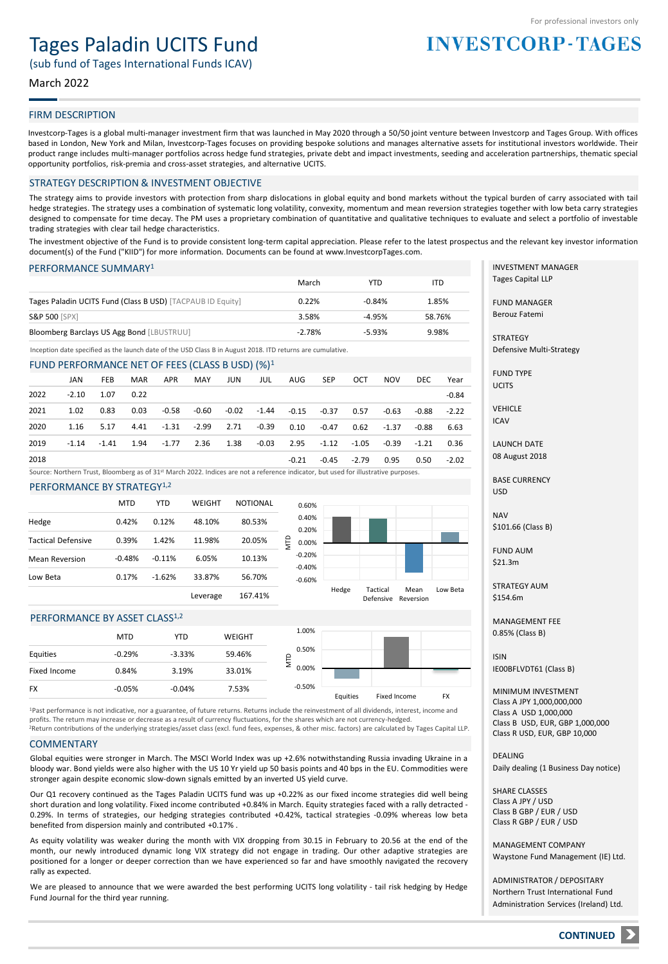# Tages Paladin UCITS Fund

(sub fund of Tages International Funds ICAV)

### March 2022

### FIRM DESCRIPTION

Investcorp-Tages is a global multi-manager investment firm that was launched in May 2020 through a 50/50 joint venture between Investcorp and Tages Group. With offices based in London, New York and Milan, Investcorp-Tages focuses on providing bespoke solutions and manages alternative assets for institutional investors worldwide. Their product range includes multi-manager portfolios across hedge fund strategies, private debt and impact investments, seeding and acceleration partnerships, thematic special opportunity portfolios, risk-premia and cross-asset strategies, and alternative UCITS.

#### STRATEGY DESCRIPTION & INVESTMENT OBJECTIVE

The strategy aims to provide investors with protection from sharp dislocations in global equity and bond markets without the typical burden of carry associated with tail hedge strategies. The strategy uses a combination of systematic long volatility, convexity, momentum and mean reversion strategies together with low beta carry strategies designed to compensate for time decay. The PM uses a proprietary combination of quantitative and qualitative techniques to evaluate and select a portfolio of investable trading strategies with clear tail hedge characteristics.

The investment objective of the Fund is to provide consistent long-term capital appreciation. Please refer to the latest prospectus and the relevant key investor information document(s) of the Fund ("KIID") for more information. Documents can be found at www.InvestcorpTages.com.

#### PERFORMANCE SUMMARY<sup>1</sup>

|                                                            | March    | YTD      | ITD    |
|------------------------------------------------------------|----------|----------|--------|
| Tages Paladin UCITS Fund (Class B USD) [TACPAUB ID Equity] | 0.22%    | $-0.84%$ | 1.85%  |
| <b>S&amp;P 500 [SPX]</b>                                   | 3.58%    | $-4.95%$ | 58.76% |
| Bloomberg Barclays US Agg Bond [LBUSTRUU]                  | $-2.78%$ | $-5.93%$ | 9.98%  |

Inception date specified as the launch date of the USD Class B in August 2018. ITD returns are cumulative.

#### FUND PERFORMANCE NET OF FEES (CLASS B USD) (%)<sup>1</sup>

|      | JAN     | <b>FEB</b> | <b>MAR</b> | APR     | MAY                 | JUN         | JUL     | AUG     | SEP     | <b>OCT</b> | <b>NOV</b> | DEC.    | Year    |
|------|---------|------------|------------|---------|---------------------|-------------|---------|---------|---------|------------|------------|---------|---------|
| 2022 | $-2.10$ | 1.07       | 0.22       |         |                     |             |         |         |         |            |            |         | $-0.84$ |
| 2021 | 1.02    | 0.83       | 0.03       | -0.58   |                     | -0.60 -0.02 | $-1.44$ | $-0.15$ | -0.37   | 0.57       | -0.63      | $-0.88$ | $-2.22$ |
| 2020 | 1.16    | 5.17       | 4.41       |         | $-1.31 - 2.99$ 2.71 |             | $-0.39$ | 0.10    | $-0.47$ | 0.62       | $-1.37$    | $-0.88$ | 6.63    |
| 2019 | $-1.14$ | $-1.41$    | 1.94       | $-1.77$ | 2.36                | 1.38        | $-0.03$ | 2.95    | $-1.12$ | -1.05      | -0.39      | $-1.21$ | 0.36    |
| 2018 |         |            |            |         |                     |             |         | $-0.21$ | $-0.45$ | $-2.79$    | 0.95       | 0.50    | $-2.02$ |

Source: Northern Trust, Bloomberg as of 31<sup>st</sup> March 2022. Indices are not a reference indicator, but used for illustrative purposes.

#### PERFORMANCE BY STRATEGY<sup>1,2</sup>

|                           | MTD      | YTD      | WEIGHT   | <b>NOTIONAL</b> | 0.            |
|---------------------------|----------|----------|----------|-----------------|---------------|
| Hedge                     | 0.42%    | 0.12%    | 48.10%   | 80.53%          | 0.            |
| <b>Tactical Defensive</b> | 0.39%    | 1.42%    | 11.98%   | 20.05%          | 0.<br>Ê<br>0. |
| <b>Mean Reversion</b>     | $-0.48%$ | $-0.11%$ | 6.05%    | 10.13%          | -0.           |
| Low Beta                  | 0.17%    | $-1.62%$ | 33.87%   | 56.70%          | -0.<br>-0.    |
|                           |          |          | Leverage | 167.41%         |               |



#### PERFORMANCE BY ASSET CLASS<sup>1,2</sup>

|              | <b>MTD</b> | <b>YTD</b> | <b>WEIGHT</b> | 1.00%    |          |              |           |
|--------------|------------|------------|---------------|----------|----------|--------------|-----------|
| Equities     | $-0.29%$   | $-3.33%$   | 59.46%        | 0.50%    |          |              |           |
| Fixed Income | 0.84%      | 3.19%      | 33.01%        | 0.00%    |          |              |           |
| <b>FX</b>    | $-0.05%$   | $-0.04%$   | 7.53%         | $-0.50%$ | Equities | Fixed Income | <b>FX</b> |
|              |            |            |               |          |          |              |           |

<sup>2</sup>Return contributions of the underlying strategies/asset class (excl. fund fees, expenses, & other misc. factors) are calculated by Tages Capital LLP. <sup>1</sup>Past performance is not indicative, nor a guarantee, of future returns. Returns include the reinvestment of all dividends, interest, income and profits. The return may increase or decrease as a result of currency fluctuations, for the shares which are not currency-hedged.

#### **COMMENTARY**

Global equities were stronger in March. The MSCI World Index was up +2.6% notwithstanding Russia invading Ukraine in a bloody war. Bond yields were also higher with the US 10 Yr yield up 50 basis points and 40 bps in the EU. Commodities were stronger again despite economic slow-down signals emitted by an inverted US yield curve.

Our Q1 recovery continued as the Tages Paladin UCITS fund was up +0.22% as our fixed income strategies did well being short duration and long volatility. Fixed income contributed +0.84% in March. Equity strategies faced with a rally detracted - 0.29%. In terms of strategies, our hedging strategies contributed +0.42%, tactical strategies -0.09% whereas low beta benefited from dispersion mainly and contributed +0.17% .

As equity volatility was weaker during the month with VIX dropping from 30.15 in February to 20.56 at the end of the month, our newly introduced dynamic long VIX strategy did not engage in trading. Our other adaptive strategies are positioned for a longer or deeper correction than we have experienced so far and have smoothly navigated the recovery rally as expected.

We are pleased to announce that we were awarded the best performing UCITS long volatility - tail risk hedging by Hedge Fund Journal for the third year running.

INVESTMENT MANAGER Tages Capital LLP

**INVESTCORP-TAGES** 

FUND MANAGER Berouz Fatemi

**STRATEGY** Defensive Multi-Strategy

FUND TYPE **UCITS** 

VEHICLE ICAV

LAUNCH DATE 08 August 2018

BASE CURRENCY USD

NAV \$101.66 (Class B)

FUND AUM \$21.3m

STRATEGY AUM \$154.6m

MANAGEMENT FEE 0.85% (Class B)

ISIN IE00BFLVDT61 (Class B)

MINIMUM INVESTMENT Class A JPY 1,000,000,000 Class A USD 1,000,000 Class B USD, EUR, GBP 1,000,000 Class R USD, EUR, GBP 10,000

**DEALING** Daily dealing (1 Business Day notice)

SHARE CLASSES Class A JPY / USD Class B GBP / EUR / USD Class R GBP / EUR / USD

MANAGEMENT COMPANY Waystone Fund Management (IE) Ltd.

ADMINISTRATOR / DEPOSITARY Northern Trust International Fund Administration Services (Ireland) Ltd.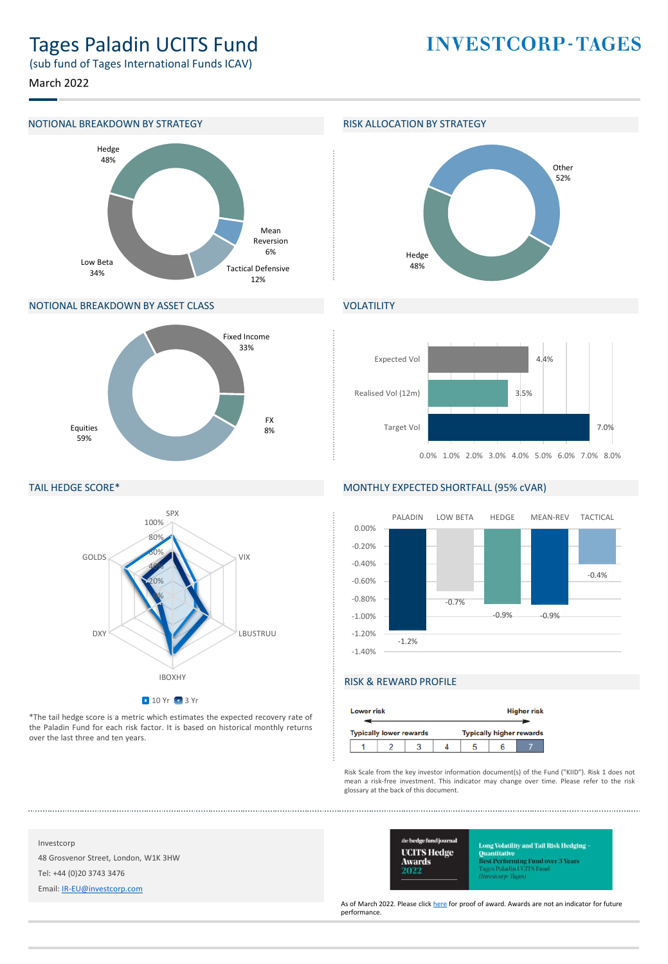# Tages Paladin UCITS Fund

(sub fund of Tages International Funds ICAV)

March 2022

#### NOTIONAL BREAKDOWN BY STRATEGY **RISK ALLOCATION BY STRATEGY**



#### NOTIONAL BREAKDOWN BY ASSET CLASS



### TAIL HEDGE SCORE\*



\*The tail hedge score is a metric which estimates the expected recovery rate of the Paladin Fund for each risk factor. It is based on historical monthly returns over the last three and ten years.

# **INVESTCORP-TAGES**



## **VOLATILITY**



#### MONTHLY EXPECTED SHORTFALL (95% cVAR)



### RISK & REWARD PROFILE

| <b>Lower risk</b> | <b>Higher risk</b>             |  |  |                                 |  |  |  |
|-------------------|--------------------------------|--|--|---------------------------------|--|--|--|
|                   | <b>Typically lower rewards</b> |  |  | <b>Typically higher rewards</b> |  |  |  |
|                   |                                |  |  |                                 |  |  |  |

Risk Scale from the key investor information document(s) of the Fund ("KIID"). Risk 1 does not mean a risk-free investment. This indicator may change over time. Please refer to the risk glossary at the back of this document.

Investcorp

48 Grosvenor Street, London, W1K 3HW

Tel: +44 (0)20 3743 3476

Email: [IR-EU@investcorp.com](mailto:IR-EU@investcorp.com)



ong Volatility and Tail Risk Hedging **Ouantitative** l<mark>est Performing Fund over 3 Years</mark><br>ages Paladin UCFFS Fund tearn-Thoms

As of March 2022. Please click [here](https://protect-eu.mimecast.com/s/bc6pCywVGiPjYoFM7FMT) for proof of award. Awards are not an indicator for future performance.